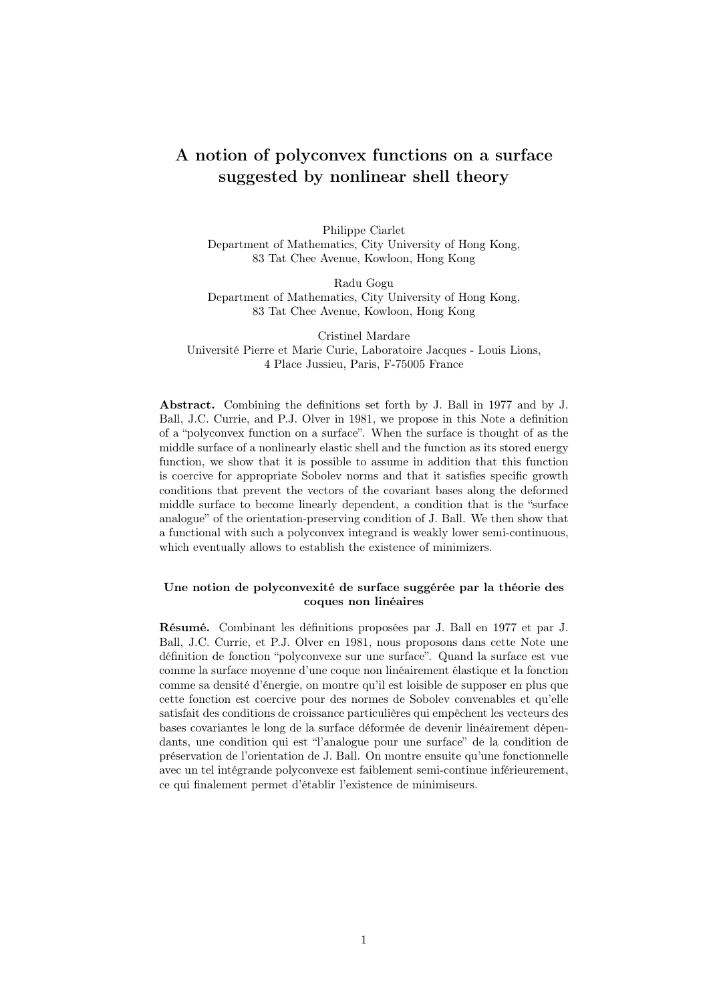# A notion of polyconvex functions on a surface suggested by nonlinear shell theory

Philippe Ciarlet Department of Mathematics, City University of Hong Kong, 83 Tat Chee Avenue, Kowloon, Hong Kong

Radu Gogu Department of Mathematics, City University of Hong Kong, 83 Tat Chee Avenue, Kowloon, Hong Kong

Cristinel Mardare Université Pierre et Marie Curie, Laboratoire Jacques - Louis Lions, 4 Place Jussieu, Paris, F-75005 France

Abstract. Combining the definitions set forth by J. Ball in 1977 and by J. Ball, J.C. Currie, and P.J. Olver in 1981, we propose in this Note a definition of a "polyconvex function on a surface". When the surface is thought of as the middle surface of a nonlinearly elastic shell and the function as its stored energy function, we show that it is possible to assume in addition that this function is coercive for appropriate Sobolev norms and that it satisfies specific growth conditions that prevent the vectors of the covariant bases along the deformed middle surface to become linearly dependent, a condition that is the "surface analogue" of the orientation-preserving condition of J. Ball. We then show that a functional with such a polyconvex integrand is weakly lower semi-continuous, which eventually allows to establish the existence of minimizers.

#### Une notion de polyconvexité de surface suggérée par la théorie des coques non linéaires

Résumé. Combinant les définitions proposées par J. Ball en 1977 et par J. Ball, J.C. Currie, et P.J. Olver en 1981, nous proposons dans cette Note une définition de fonction "polyconvexe sur une surface". Quand la surface est vue comme la surface moyenne d'une coque non linéairement élastique et la fonction comme sa densité d'énergie, on montre qu'il est loisible de supposer en plus que cette fonction est coercive pour des normes de Sobolev convenables et qu'elle satisfait des conditions de croissance particulières qui empêchent les vecteurs des bases covariantes le long de la surface déformée de devenir linéairement dépendants, une condition qui est "l'analogue pour une surface" de la condition de préservation de l'orientation de J. Ball. On montre ensuite qu'une fonctionnelle avec un tel intégrande polyconvexe est faiblement semi-continue inférieurement, ce qui finalement permet d'établir l'existence de minimiseurs.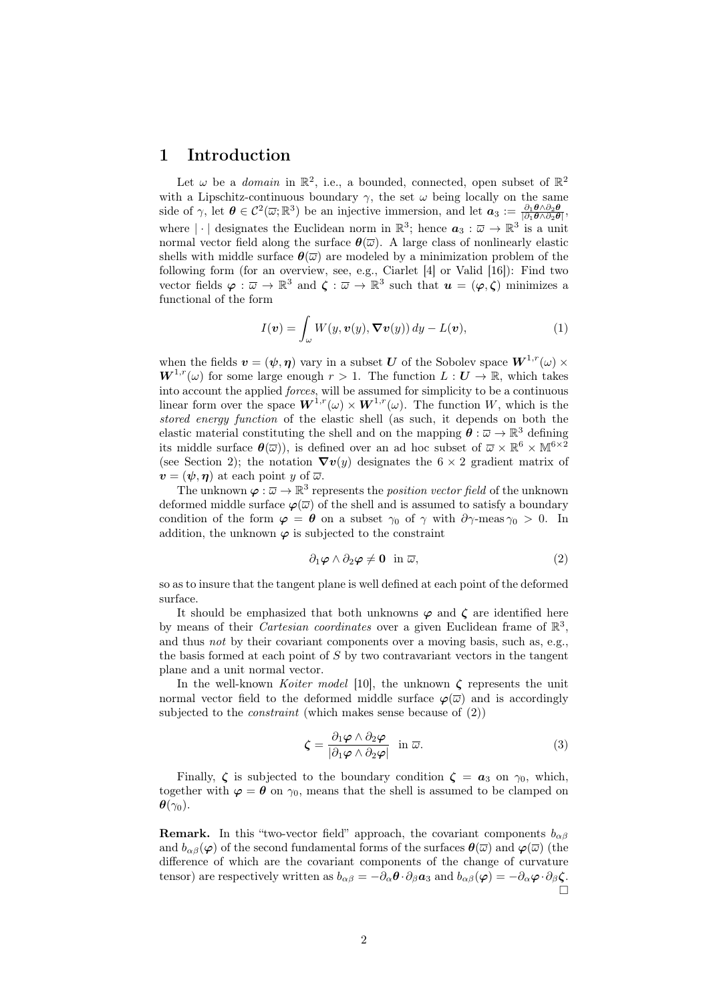# 1 Introduction

Let  $\omega$  be a *domain* in  $\mathbb{R}^2$ , i.e., a bounded, connected, open subset of  $\mathbb{R}^2$ with a Lipschitz-continuous boundary  $\gamma$ , the set  $\omega$  being locally on the same side of  $\gamma$ , let  $\boldsymbol{\theta} \in C^2(\overline{\omega}; \mathbb{R}^3)$  be an injective immersion, and let  $\boldsymbol{a}_3 := \frac{\partial_1 \boldsymbol{\theta} \wedge \partial_2 \boldsymbol{\theta}}{|\partial_1 \boldsymbol{\theta} \wedge \partial_2 \boldsymbol{\theta}|}$ , where  $|\cdot|$  designates the Euclidean norm in  $\mathbb{R}^3$ ; hence  $a_3 : \overline{\omega} \to \mathbb{R}^3$  is a unit normal vector field along the surface  $\boldsymbol{\theta}(\overline{\omega})$ . A large class of nonlinearly elastic shells with middle surface  $\theta(\overline{\omega})$  are modeled by a minimization problem of the following form (for an overview, see, e.g., Ciarlet [4] or Valid [16]): Find two vector fields  $\varphi : \overline{\omega} \to \mathbb{R}^3$  and  $\zeta : \overline{\omega} \to \mathbb{R}^3$  such that  $u = (\varphi, \zeta)$  minimizes a functional of the form

$$
I(\boldsymbol{v}) = \int_{\omega} W(y, \boldsymbol{v}(y), \boldsymbol{\nabla} \boldsymbol{v}(y)) \, dy - L(\boldsymbol{v}), \tag{1}
$$

when the fields  $v = (\psi, \eta)$  vary in a subset U of the Sobolev space  $W^{1,r}(\omega)$  $W^{1,r}(\omega)$  for some large enough  $r > 1$ . The function  $L : U \to \mathbb{R}$ , which takes into account the applied forces, will be assumed for simplicity to be a continuous linear form over the space  $W^{1,r}(\omega) \times W^{1,r}(\omega)$ . The function W, which is the stored energy function of the elastic shell (as such, it depends on both the elastic material constituting the shell and on the mapping  $\boldsymbol{\theta} : \overline{\omega} \to \mathbb{R}^3$  defining its middle surface  $\theta(\overline{\omega})$ , is defined over an ad hoc subset of  $\overline{\omega} \times \mathbb{R}^6 \times \mathbb{M}^{6 \times 2}$ (see Section 2); the notation  $\nabla v(y)$  designates the 6 × 2 gradient matrix of  $v = (\psi, \eta)$  at each point y of  $\overline{\omega}$ .

The unknown  $\varphi : \overline{\omega} \to \mathbb{R}^3$  represents the *position vector field* of the unknown deformed middle surface  $\varphi(\overline{\omega})$  of the shell and is assumed to satisfy a boundary condition of the form  $\varphi = \theta$  on a subset  $\gamma_0$  of  $\gamma$  with  $\partial \gamma$ -meas  $\gamma_0 > 0$ . In addition, the unknown  $\varphi$  is subjected to the constraint

$$
\partial_1 \varphi \wedge \partial_2 \varphi \neq \mathbf{0} \quad \text{in } \overline{\omega}, \tag{2}
$$

so as to insure that the tangent plane is well defined at each point of the deformed surface.

It should be emphasized that both unknowns  $\varphi$  and  $\zeta$  are identified here by means of their *Cartesian coordinates* over a given Euclidean frame of  $\mathbb{R}^3$ , and thus *not* by their covariant components over a moving basis, such as, e.g., the basis formed at each point of  $S$  by two contravariant vectors in the tangent plane and a unit normal vector.

In the well-known Koiter model [10], the unknown  $\zeta$  represents the unit normal vector field to the deformed middle surface  $\varphi(\overline{\omega})$  and is accordingly subjected to the *constraint* (which makes sense because of  $(2)$ )

$$
\zeta = \frac{\partial_1 \varphi \wedge \partial_2 \varphi}{|\partial_1 \varphi \wedge \partial_2 \varphi|} \quad \text{in } \overline{\omega}.\tag{3}
$$

Finally,  $\zeta$  is subjected to the boundary condition  $\zeta = \alpha_3$  on  $\gamma_0$ , which, together with  $\varphi = \theta$  on  $\gamma_0$ , means that the shell is assumed to be clamped on  $\boldsymbol{\theta}(\gamma_0)$ .

**Remark.** In this "two-vector field" approach, the covariant components  $b_{\alpha\beta}$ and  $b_{\alpha\beta}(\varphi)$  of the second fundamental forms of the surfaces  $\theta(\overline{\omega})$  and  $\varphi(\overline{\omega})$  (the difference of which are the covariant components of the change of curvature tensor) are respectively written as  $b_{\alpha\beta} = -\partial_{\alpha} \theta \cdot \partial_{\beta} a_3$  and  $b_{\alpha\beta}(\varphi) = -\partial_{\alpha} \varphi \cdot \partial_{\beta} \zeta$ . Ò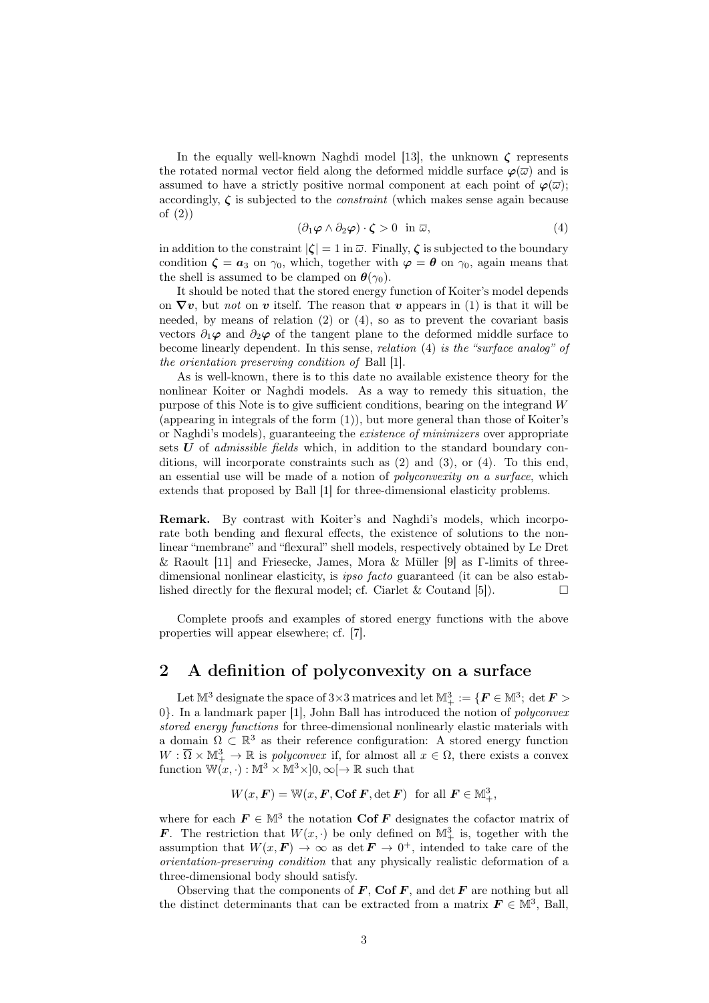In the equally well-known Naghdi model [13], the unknown  $\zeta$  represents the rotated normal vector field along the deformed middle surface  $\varphi(\overline{\omega})$  and is assumed to have a strictly positive normal component at each point of  $\varphi(\overline{\omega})$ ; accordingly,  $\zeta$  is subjected to the *constraint* (which makes sense again because of (2))

$$
(\partial_1 \varphi \wedge \partial_2 \varphi) \cdot \zeta > 0 \quad \text{in } \overline{\omega}, \tag{4}
$$

in addition to the constraint  $|\zeta| = 1$  in  $\overline{\omega}$ . Finally,  $\zeta$  is subjected to the boundary condition  $\zeta = a_3$  on  $\gamma_0$ , which, together with  $\varphi = \theta$  on  $\gamma_0$ , again means that the shell is assumed to be clamped on  $\theta(\gamma_0)$ .

It should be noted that the stored energy function of Koiter's model depends on  $\nabla v$ , but *not* on v itself. The reason that v appears in (1) is that it will be needed, by means of relation (2) or (4), so as to prevent the covariant basis vectors  $\partial_1 \varphi$  and  $\partial_2 \varphi$  of the tangent plane to the deformed middle surface to become linearly dependent. In this sense, relation (4) is the "surface analog" of the orientation preserving condition of Ball [1].

As is well-known, there is to this date no available existence theory for the nonlinear Koiter or Naghdi models. As a way to remedy this situation, the purpose of this Note is to give sufficient conditions, bearing on the integrand W (appearing in integrals of the form (1)), but more general than those of Koiter's or Naghdi's models), guaranteeing the existence of minimizers over appropriate sets  $U$  of *admissible fields* which, in addition to the standard boundary conditions, will incorporate constraints such as (2) and (3), or (4). To this end, an essential use will be made of a notion of polyconvexity on a surface, which extends that proposed by Ball [1] for three-dimensional elasticity problems.

Remark. By contrast with Koiter's and Naghdi's models, which incorporate both bending and flexural effects, the existence of solutions to the nonlinear "membrane" and "flexural" shell models, respectively obtained by Le Dret & Raoult [11] and Friesecke, James, Mora & Müller [9] as Γ-limits of threedimensional nonlinear elasticity, is *ipso facto* guaranteed (it can be also established directly for the flexural model; cf. Ciarlet & Coutand [5]).  $\Box$ 

Complete proofs and examples of stored energy functions with the above properties will appear elsewhere; cf. [7].

# 2 A definition of polyconvexity on a surface

Let  $\mathbb{M}^3$  designate the space of 3×3 matrices and let  $\mathbb{M}^3_+:=\{\textbf{\textit{F}}\in\mathbb{M}^3;\ \det\textbf{\textit{F}}>0\}$ 0}. In a landmark paper [1], John Ball has introduced the notion of polyconvex stored energy functions for three-dimensional nonlinearly elastic materials with a domain  $\Omega \subset \mathbb{R}^3$  as their reference configuration: A stored energy function  $W: \overline{\Omega} \times M^3_+ \to \mathbb{R}$  is *polyconvex* if, for almost all  $x \in \Omega$ , there exists a convex function  $\mathbb{W}(x, \cdot) : \mathbb{M}^3 \times \mathbb{M}^3 \times ]0, \infty[ \to \mathbb{R}$  such that

 $W(x, \mathbf{F}) = \mathbb{W}(x, \mathbf{F}, \textbf{Cof } \mathbf{F}, \det \mathbf{F})$  for all  $\mathbf{F} \in \mathbb{M}^3_+,$ 

where for each  $\mathbf{F} \in \mathbb{M}^3$  the notation Cof F designates the cofactor matrix of **F**. The restriction that  $W(x, \cdot)$  be only defined on  $\mathbb{M}^3_+$  is, together with the assumption that  $W(x, F) \to \infty$  as det  $F \to 0^+$ , intended to take care of the orientation-preserving condition that any physically realistic deformation of a three-dimensional body should satisfy.

Observing that the components of  $F$ , Cof  $F$ , and det  $F$  are nothing but all the distinct determinants that can be extracted from a matrix  $\mathbf{F} \in \mathbb{M}^3$ , Ball,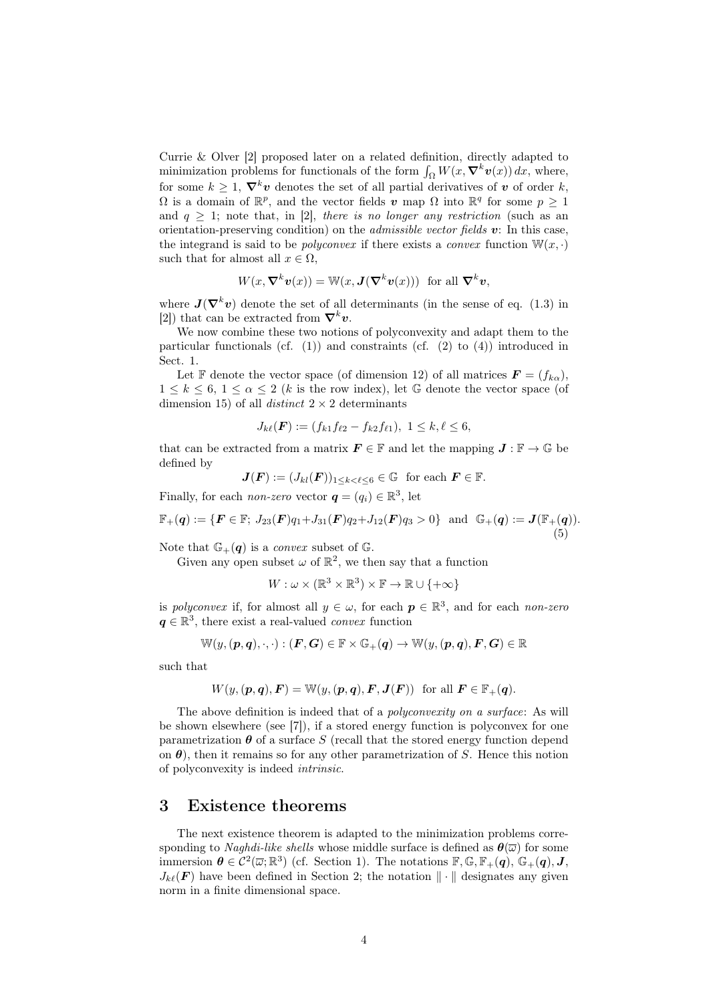Currie & Olver [2] proposed later on a related definition, directly adapted to minimization problems for functionals of the form  $\int_{\Omega} W(x, \nabla^k v(x)) dx$ , where, for some  $k \geq 1$ ,  $\nabla^k \mathbf{v}$  denotes the set of all partial derivatives of  $\mathbf{v}$  of order k,  $\Omega$  is a domain of  $\mathbb{R}^p$ , and the vector fields v map  $\Omega$  into  $\mathbb{R}^q$  for some  $p \geq 1$ and  $q \geq 1$ ; note that, in [2], there is no longer any restriction (such as an orientation-preserving condition) on the *admissible vector fields*  $v$ : In this case, the integrand is said to be *polyconvex* if there exists a *convex* function  $\mathbb{W}(x, \cdot)$ such that for almost all  $x \in \Omega$ ,

$$
W(x, \nabla^k v(x)) = W(x, \mathbf{J}(\nabla^k v(x))) \text{ for all } \nabla^k v,
$$

where  $J(\nabla^k v)$  denote the set of all determinants (in the sense of eq. (1.3) in [2]) that can be extracted from  $\nabla^k v$ .

We now combine these two notions of polyconvexity and adapt them to the particular functionals (cf.  $(1)$ ) and constraints (cf.  $(2)$ ) to  $(4)$ ) introduced in Sect. 1.

Let F denote the vector space (of dimension 12) of all matrices  $\mathbf{F} = (f_{k\alpha})$ ,  $1 \leq k \leq 6, 1 \leq \alpha \leq 2$  (k is the row index), let G denote the vector space (of dimension 15) of all *distinct*  $2 \times 2$  determinants

$$
J_{k\ell}(F) := (f_{k1}f_{\ell 2} - f_{k2}f_{\ell 1}), \ 1 \leq k, \ell \leq 6,
$$

that can be extracted from a matrix  $\mathbf{F} \in \mathbb{F}$  and let the mapping  $\mathbf{J} : \mathbb{F} \to \mathbb{G}$  be defined by

$$
\mathbf{J}(\mathbf{F}) := (J_{kl}(\mathbf{F}))_{1 \leq k < \ell \leq 6} \in \mathbb{G} \quad \text{for each } \mathbf{F} \in \mathbb{F}.
$$

Finally, for each *non-zero* vector  $q = (q_i) \in \mathbb{R}^3$ , let

$$
\mathbb{F}_{+}(q) := \{ \boldsymbol{F} \in \mathbb{F}; J_{23}(\boldsymbol{F})q_1 + J_{31}(\boldsymbol{F})q_2 + J_{12}(\boldsymbol{F})q_3 > 0 \} \text{ and } \mathbb{G}_{+}(q) := \boldsymbol{J}(\mathbb{F}_{+}(q)).
$$
\n(5)

Note that  $\mathbb{G}_{+}(q)$  is a *convex* subset of  $\mathbb{G}$ .

Given any open subset  $\omega$  of  $\mathbb{R}^2$ , we then say that a function

$$
W: \omega \times (\mathbb{R}^3 \times \mathbb{R}^3) \times \mathbb{F} \to \mathbb{R} \cup \{+\infty\}
$$

is polyconvex if, for almost all  $y \in \omega$ , for each  $p \in \mathbb{R}^3$ , and for each non-zero  $q \in \mathbb{R}^3$ , there exist a real-valued *convex* function

$$
\mathbb{W}(y, (\boldsymbol{p}, \boldsymbol{q}), \cdot, \cdot): (\boldsymbol{F}, \boldsymbol{G}) \in \mathbb{F} \times \mathbb{G}_+(\boldsymbol{q}) \rightarrow \mathbb{W}(y, (\boldsymbol{p}, \boldsymbol{q}), \boldsymbol{F}, \boldsymbol{G}) \in \mathbb{R}
$$

such that

$$
W(y, (\boldsymbol{p}, \boldsymbol{q}), \boldsymbol{F}) = \mathbb{W}(y, (\boldsymbol{p}, \boldsymbol{q}), \boldsymbol{F}, \boldsymbol{J}(\boldsymbol{F})) \text{ for all } \boldsymbol{F} \in \mathbb{F}_+(\boldsymbol{q}).
$$

The above definition is indeed that of a *polyconvexity on a surface*: As will be shown elsewhere (see [7]), if a stored energy function is polyconvex for one parametrization  $\boldsymbol{\theta}$  of a surface S (recall that the stored energy function depend on  $\theta$ ), then it remains so for any other parametrization of S. Hence this notion of polyconvexity is indeed intrinsic.

#### 3 Existence theorems

The next existence theorem is adapted to the minimization problems corresponding to *Naghdi-like shells* whose middle surface is defined as  $\theta(\overline{\omega})$  for some immersion  $\theta \in C^2(\overline{\omega}; \mathbb{R}^3)$  (cf. Section 1). The notations  $\mathbb{F}, \mathbb{G}, \mathbb{F}_+(\overline{q}), \mathbb{G}_+(\overline{q}), J$ ,  $J_{k\ell}(F)$  have been defined in Section 2; the notation  $\|\cdot\|$  designates any given norm in a finite dimensional space.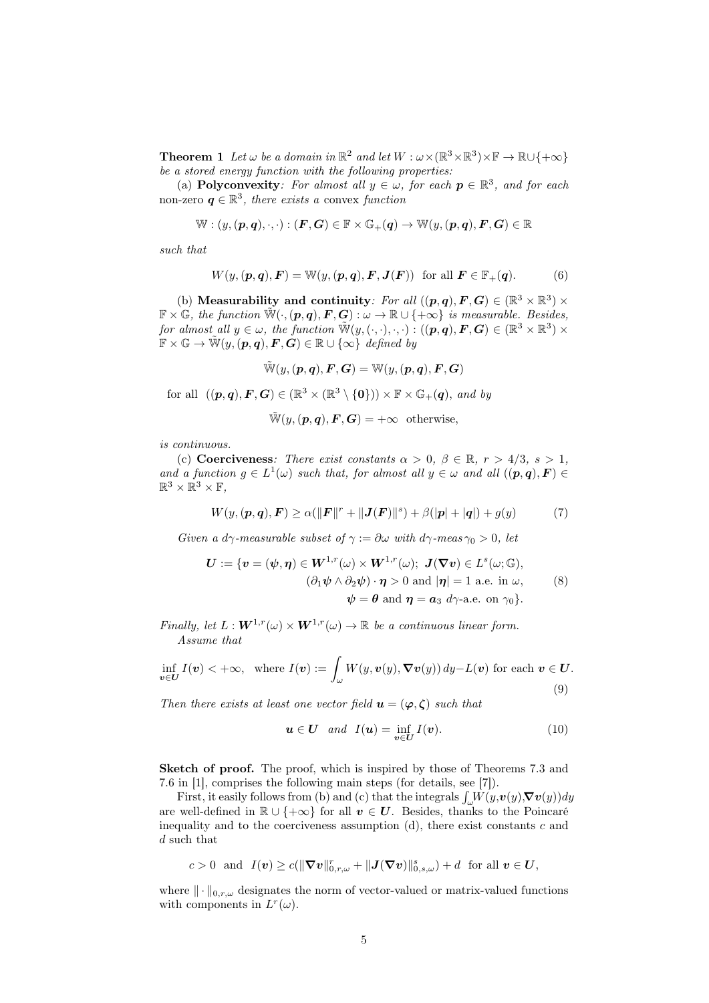**Theorem 1** Let  $\omega$  be a domain in  $\mathbb{R}^2$  and let  $W : \omega \times (\mathbb{R}^3 \times \mathbb{R}^3) \times \mathbb{F} \to \mathbb{R} \cup \{+\infty\}$ be a stored energy function with the following properties:

(a) Polyconvexity: For almost all  $y \in \omega$ , for each  $p \in \mathbb{R}^3$ , and for each non-zero  $q \in \mathbb{R}^3$ , there exists a convex function

$$
\mathbb{W}:(y,(\boldsymbol{p},\boldsymbol{q}),\cdot,\cdot):(\boldsymbol{F},\boldsymbol{G})\in\mathbb{F}\times\mathbb{G}_+(\boldsymbol{q})\rightarrow\mathbb{W}(y,(\boldsymbol{p},\boldsymbol{q}),\boldsymbol{F},\boldsymbol{G})\in\mathbb{R}
$$

such that

$$
W(y, (\boldsymbol{p}, \boldsymbol{q}), \boldsymbol{F}) = \mathbb{W}(y, (\boldsymbol{p}, \boldsymbol{q}), \boldsymbol{F}, \boldsymbol{J}(\boldsymbol{F})) \text{ for all } \boldsymbol{F} \in \mathbb{F}_+(\boldsymbol{q}).
$$
 (6)

(b) Measurability and continuity: For all  $((p,q), F, G) \in (\mathbb{R}^3 \times \mathbb{R}^3) \times$  $\mathbb{F} \times \mathbb{G}$ , the function  $\tilde{\mathbb{W}}(\cdot, (\mathbf{p}, \mathbf{q}), \mathbf{F}, \mathbf{G}) : \omega \to \mathbb{R} \cup \{+\infty\}$  is measurable. Besides, for almost all  $y \in \omega$ , the function  $\widetilde{\mathbb{W}}(y, (\cdot, \cdot), \cdot, \cdot) : ((p, q), F, G) \in (\mathbb{R}^3 \times \mathbb{R}^3) \times$  $\mathbb{F} \times \mathbb{G} \to \tilde{\mathbb{W}}(y, (p, q), F, G) \in \mathbb{R} \cup \{\infty\}$  defined by

$$
\tilde{\mathbb{W}}(y, (\boldsymbol{p}, \boldsymbol{q}), \boldsymbol{F}, \boldsymbol{G}) = \mathbb{W}(y, (\boldsymbol{p}, \boldsymbol{q}), \boldsymbol{F}, \boldsymbol{G})
$$

for all  $((p,q), F, G) \in (\mathbb{R}^3 \times (\mathbb{R}^3 \setminus \{0\})) \times \mathbb{F} \times \mathbb{G}_+(\boldsymbol{q}),$  and by

$$
\widetilde{\mathbb{W}}(y, (\boldsymbol{p}, \boldsymbol{q}), \boldsymbol{F}, \boldsymbol{G}) = +\infty \quad \text{otherwise},
$$

is continuous.

(c) Coerciveness: There exist constants  $\alpha > 0$ ,  $\beta \in \mathbb{R}$ ,  $r > 4/3$ ,  $s > 1$ , and a function  $g \in L^1(\omega)$  such that, for almost all  $y \in \omega$  and all  $((p,q), F) \in$  $\mathbb{R}^3 \times \mathbb{R}^3 \times \mathbb{F}$ 

$$
W(y, (\mathbf{p}, \mathbf{q}), \mathbf{F}) \ge \alpha (||\mathbf{F}||^{r} + ||\mathbf{J}(\mathbf{F})||^{s}) + \beta (|\mathbf{p}| + |\mathbf{q}|) + g(y) \tag{7}
$$

Given a dγ-measurable subset of  $\gamma := \partial \omega$  with dγ-meas  $\gamma_0 > 0$ , let

$$
\mathbf{U} := \{ \mathbf{v} = (\psi, \boldsymbol{\eta}) \in \mathbf{W}^{1, r}(\omega) \times \mathbf{W}^{1, r}(\omega); \ \mathbf{J}(\nabla \mathbf{v}) \in L^{s}(\omega; \mathbb{G}), \n(\partial_1 \psi \wedge \partial_2 \psi) \cdot \boldsymbol{\eta} > 0 \text{ and } |\boldsymbol{\eta}| = 1 \text{ a.e. in } \omega, \n\psi = \boldsymbol{\theta} \text{ and } \boldsymbol{\eta} = \mathbf{a}_3 \ d\gamma \text{-a.e. on } \gamma_0 \}.
$$
\n(8)

Finally, let  $L : \mathbf{W}^{1,r}(\omega) \times \mathbf{W}^{1,r}(\omega) \to \mathbb{R}$  be a continuous linear form. Assume that

$$
\inf_{\mathbf{v}\in\mathbf{U}}I(\mathbf{v})<+\infty,\quad\text{where }I(\mathbf{v}):=\int_{\omega}W(y,\mathbf{v}(y),\boldsymbol{\nabla}\mathbf{v}(y))\,dy-L(\mathbf{v})\text{ for each }\mathbf{v}\in\mathbf{U}.
$$
\n(9)

Then there exists at least one vector field  $u = (\varphi, \zeta)$  such that

$$
\mathbf{u} \in \mathbf{U} \quad and \quad I(\mathbf{u}) = \inf_{\mathbf{v} \in \mathbf{U}} I(\mathbf{v}). \tag{10}
$$

Sketch of proof. The proof, which is inspired by those of Theorems 7.3 and 7.6 in [1], comprises the following main steps (for details, see [7]).

First, it easily follows from (b) and (c) that the integrals  $\int_{\omega} W(y, v(y), \nabla v(y)) dy$ are well-defined in  $\mathbb{R} \cup \{+\infty\}$  for all  $v \in U$ . Besides, thanks to the Poincaré inequality and to the coerciveness assumption  $(d)$ , there exist constants c and d such that

$$
c>0 \text{ and } I(\boldsymbol{v})\geq c(\|\boldsymbol{\nabla} \boldsymbol{v}\|_{0,r,\omega}^r+\|\boldsymbol{J}(\boldsymbol{\nabla} \boldsymbol{v})\|_{0,s,\omega}^s)+d \text{ for all } \boldsymbol{v}\in \boldsymbol{U},
$$

where  $\|\cdot\|_{0,r,\omega}$  designates the norm of vector-valued or matrix-valued functions with components in  $L^r(\omega)$ .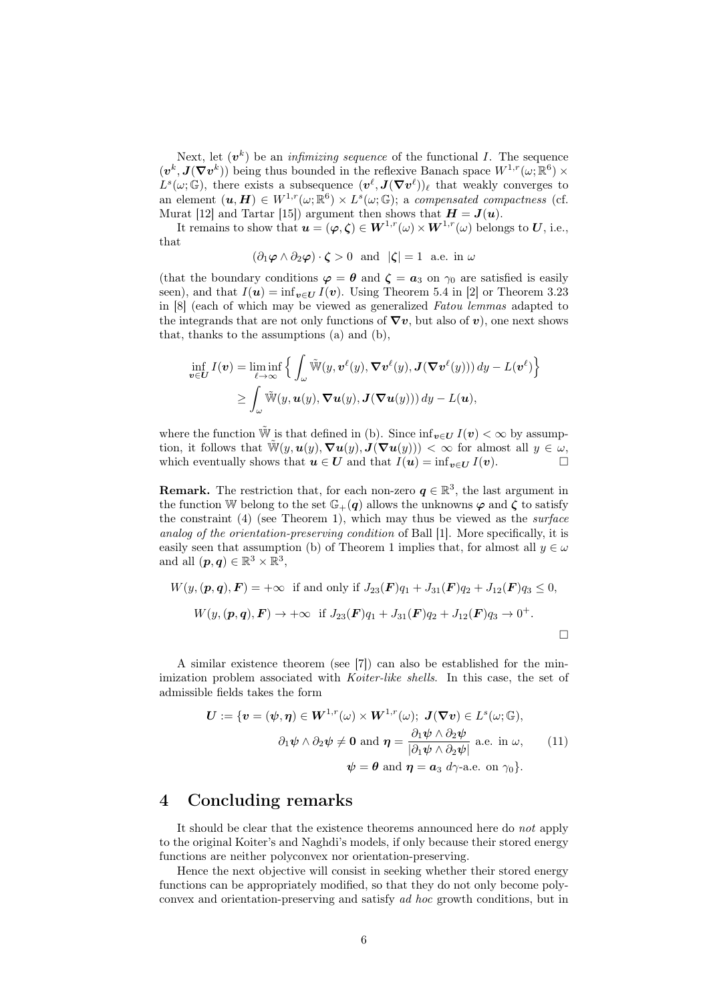Next, let  $(v^k)$  be an *infimizing sequence* of the functional I. The sequence  $(v^k, J(\nabla v^k))$  being thus bounded in the reflexive Banach space  $W^{1,r}(\omega;\mathbb{R}^6)$  ×  $L^s(\omega;\mathbb{G})$ , there exists a subsequence  $(\mathbf{v}^{\ell},\mathbf{J}(\nabla \mathbf{v}^{\ell}))_{\ell}$  that weakly converges to an element  $(\boldsymbol{u}, \boldsymbol{H}) \in W^{1,r}(\omega; \mathbb{R}^6) \times L^s(\omega; \mathbb{G})$ ; a compensated compactness (cf. Murat [12] and Tartar [15]) argument then shows that  $H = J(u)$ .

It remains to show that  $u = (\varphi, \zeta) \in W^{1,r}(\omega) \times W^{1,r}(\omega)$  belongs to U, i.e., that

$$
(\partial_1 \varphi \wedge \partial_2 \varphi) \cdot \zeta > 0
$$
 and  $|\zeta| = 1$  a.e. in  $\omega$ 

(that the boundary conditions  $\varphi = \theta$  and  $\zeta = a_3$  on  $\gamma_0$  are satisfied is easily seen), and that  $I(\mathbf{u}) = \inf_{\mathbf{v} \in U} I(\mathbf{v})$ . Using Theorem 5.4 in [2] or Theorem 3.23 in [8] (each of which may be viewed as generalized Fatou lemmas adapted to the integrands that are not only functions of  $\nabla v$ , but also of v), one next shows that, thanks to the assumptions (a) and (b),

$$
\inf_{\mathbf{v}\in\mathbf{U}}I(\mathbf{v}) = \liminf_{\ell\to\infty}\Big\{\int_{\omega}\tilde{\mathbb{W}}(y,\mathbf{v}^{\ell}(y),\nabla\mathbf{v}^{\ell}(y),\mathbf{J}(\nabla\mathbf{v}^{\ell}(y)))\,dy - L(\mathbf{v}^{\ell})\Big\}
$$

$$
\geq \int_{\omega}\tilde{\mathbb{W}}(y,\mathbf{u}(y),\nabla\mathbf{u}(y),\mathbf{J}(\nabla\mathbf{u}(y)))\,dy - L(\mathbf{u}),
$$

where the function  $\tilde{W}$  is that defined in (b). Since  $\inf_{v \in U} I(v) < \infty$  by assumption, it follows that  $\tilde{\mathbb{W}}(y,\boldsymbol{u}(y),\boldsymbol{\nabla}\boldsymbol{u}(y),\boldsymbol{J}(\boldsymbol{\nabla}\boldsymbol{u}(y))) < \infty$  for almost all  $y \in \omega$ , which eventually shows that  $u \in U$  and that  $I(u) = \inf_{v \in U} I(v)$ .

**Remark.** The restriction that, for each non-zero  $q \in \mathbb{R}^3$ , the last argument in the function W belong to the set  $\mathbb{G}_{+}(q)$  allows the unknowns  $\varphi$  and  $\zeta$  to satisfy the constraint  $(4)$  (see Theorem 1), which may thus be viewed as the *surface* analog of the orientation-preserving condition of Ball [1]. More specifically, it is easily seen that assumption (b) of Theorem 1 implies that, for almost all  $y \in \omega$ and all  $(\boldsymbol{p}, \boldsymbol{q}) \in \mathbb{R}^3 \times \mathbb{R}^3$ ,

$$
W(y, (\mathbf{p}, \mathbf{q}), \mathbf{F}) = +\infty \text{ if and only if } J_{23}(\mathbf{F})q_1 + J_{31}(\mathbf{F})q_2 + J_{12}(\mathbf{F})q_3 \le 0,
$$
  

$$
W(y, (\mathbf{p}, \mathbf{q}), \mathbf{F}) \to +\infty \text{ if } J_{23}(\mathbf{F})q_1 + J_{31}(\mathbf{F})q_2 + J_{12}(\mathbf{F})q_3 \to 0^+.
$$

A similar existence theorem (see [7]) can also be established for the minimization problem associated with *Koiter-like shells*. In this case, the set of admissible fields takes the form

$$
\boldsymbol{U} := \{ \boldsymbol{v} = (\boldsymbol{\psi}, \boldsymbol{\eta}) \in \boldsymbol{W}^{1, r}(\omega) \times \boldsymbol{W}^{1, r}(\omega); \ \boldsymbol{J}(\boldsymbol{\nabla}\boldsymbol{v}) \in L^{s}(\omega; \mathbb{G}), \\ \partial_1 \boldsymbol{\psi} \wedge \partial_2 \boldsymbol{\psi} \neq \boldsymbol{0} \text{ and } \boldsymbol{\eta} = \frac{\partial_1 \boldsymbol{\psi} \wedge \partial_2 \boldsymbol{\psi}}{|\partial_1 \boldsymbol{\psi} \wedge \partial_2 \boldsymbol{\psi}|} \text{ a.e. in } \omega, \qquad (11)
$$

$$
\boldsymbol{\psi} = \boldsymbol{\theta} \text{ and } \boldsymbol{\eta} = \boldsymbol{a}_3 \ d\gamma \text{-a.e. on } \gamma_0 \}.
$$

### 4 Concluding remarks

It should be clear that the existence theorems announced here do not apply to the original Koiter's and Naghdi's models, if only because their stored energy functions are neither polyconvex nor orientation-preserving.

Hence the next objective will consist in seeking whether their stored energy functions can be appropriately modified, so that they do not only become polyconvex and orientation-preserving and satisfy ad hoc growth conditions, but in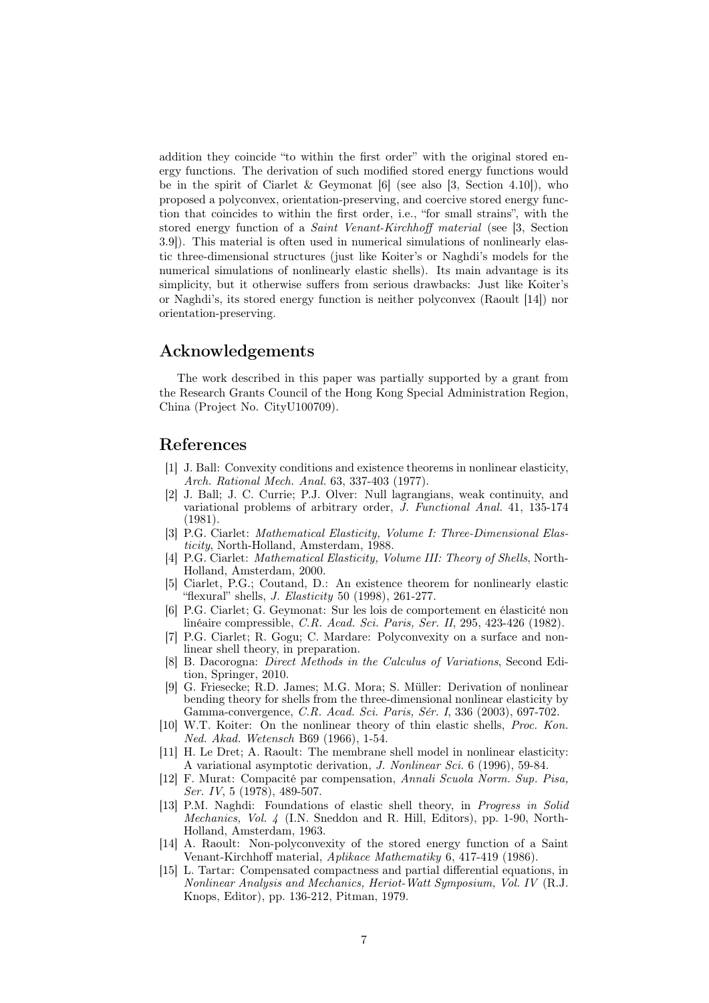addition they coincide "to within the first order" with the original stored energy functions. The derivation of such modified stored energy functions would be in the spirit of Ciarlet & Geymonat  $[6]$  (see also  $[3,$  Section 4.10]), who proposed a polyconvex, orientation-preserving, and coercive stored energy function that coincides to within the first order, i.e., "for small strains", with the stored energy function of a Saint Venant-Kirchhoff material (see [3, Section 3.9]). This material is often used in numerical simulations of nonlinearly elastic three-dimensional structures (just like Koiter's or Naghdi's models for the numerical simulations of nonlinearly elastic shells). Its main advantage is its simplicity, but it otherwise suffers from serious drawbacks: Just like Koiter's or Naghdi's, its stored energy function is neither polyconvex (Raoult [14]) nor orientation-preserving.

# Acknowledgements

The work described in this paper was partially supported by a grant from the Research Grants Council of the Hong Kong Special Administration Region, China (Project No. CityU100709).

#### References

- [1] J. Ball: Convexity conditions and existence theorems in nonlinear elasticity, Arch. Rational Mech. Anal. 63, 337-403 (1977).
- [2] J. Ball; J. C. Currie; P.J. Olver: Null lagrangians, weak continuity, and variational problems of arbitrary order, J. Functional Anal. 41, 135-174 (1981).
- [3] P.G. Ciarlet: Mathematical Elasticity, Volume I: Three-Dimensional Elasticity, North-Holland, Amsterdam, 1988.
- [4] P.G. Ciarlet: Mathematical Elasticity, Volume III: Theory of Shells, North-Holland, Amsterdam, 2000.
- [5] Ciarlet, P.G.; Coutand, D.: An existence theorem for nonlinearly elastic "flexural" shells,  $J.$  Elasticity 50 (1998), 261-277.
- [6] P.G. Ciarlet; G. Geymonat: Sur les lois de comportement en élasticité non linéaire compressible, C.R. Acad. Sci. Paris, Ser. II, 295, 423-426 (1982).
- [7] P.G. Ciarlet; R. Gogu; C. Mardare: Polyconvexity on a surface and nonlinear shell theory, in preparation.
- [8] B. Dacorogna: Direct Methods in the Calculus of Variations, Second Edition, Springer, 2010.
- [9] G. Friesecke; R.D. James; M.G. Mora; S. Müller: Derivation of nonlinear bending theory for shells from the three-dimensional nonlinear elasticity by Gamma-convergence, C.R. Acad. Sci. Paris, Sér. I, 336 (2003), 697-702.
- [10] W.T. Koiter: On the nonlinear theory of thin elastic shells, Proc. Kon. Ned. Akad. Wetensch B69 (1966), 1-54.
- [11] H. Le Dret; A. Raoult: The membrane shell model in nonlinear elasticity: A variational asymptotic derivation, J. Nonlinear Sci. 6 (1996), 59-84.
- [12] F. Murat: Compacité par compensation, Annali Scuola Norm. Sup. Pisa, Ser. IV, 5 (1978), 489-507.
- [13] P.M. Naghdi: Foundations of elastic shell theory, in Progress in Solid Mechanics, Vol. 4 (I.N. Sneddon and R. Hill, Editors), pp. 1-90, North-Holland, Amsterdam, 1963.
- [14] A. Raoult: Non-polyconvexity of the stored energy function of a Saint Venant-Kirchhoff material, Aplikace Mathematiky 6, 417-419 (1986).
- [15] L. Tartar: Compensated compactness and partial differential equations, in Nonlinear Analysis and Mechanics, Heriot-Watt Symposium, Vol. IV (R.J. Knops, Editor), pp. 136-212, Pitman, 1979.